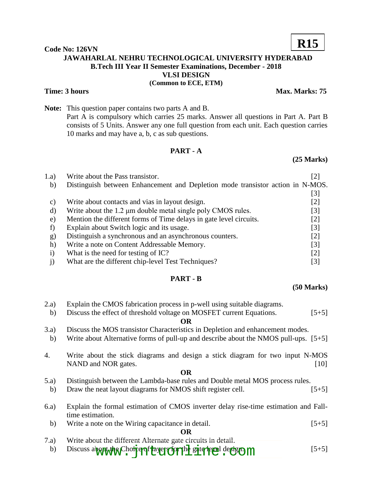#### **Code No: 126VN JAWAHARLAL NEHRU TECHNOLOGICAL UNIVERSITY HYDERABAD B.Tech III Year II Semester Examinations, December - 2018 VLSI DESIGN (Common to ECE, ETM)**

#### **Time: 3 hours** Max. Marks: 75

**Note:** This question paper contains two parts A and B. Part A is compulsory which carries 25 marks. Answer all questions in Part A. Part B consists of 5 Units. Answer any one full question from each unit. Each question carries 10 marks and may have a, b, c as sub questions.

### **PART - A**

## 1.a) Write about the Pass transistor. [2] b) Distinguish between Enhancement and Depletion mode transistor action in N-MOS. [3] c) Write about contacts and vias in layout design. [2] d) Write about the 1.2 μm double metal single poly CMOS rules. [3] e) Mention the different forms of Time delays in gate level circuits. [2] f) Explain about Switch logic and its usage. [3] g) Distinguish a synchronous and an asynchronous counters. [2] h) Write a note on Content Addressable Memory. [3] i) What is the need for testing of IC? [2] j) What are the different chip-level Test Techniques? [3]

#### **PART - B**

#### **(50 Marks)**

- 2.a) Explain the CMOS fabrication process in p-well using suitable diagrams.
- b) Discuss the effect of threshold voltage on MOSFET current Equations. [5+5] **OR**
- 3.a) Discuss the MOS transistor Characteristics in Depletion and enhancement modes.
- b) Write about Alternative forms of pull-up and describe about the NMOS pull-ups. [5+5]
- 4. Write about the stick diagrams and design a stick diagram for two input N-MOS NAND and NOR gates. [10]

#### **OR**

- 5.a) Distinguish between the Lambda-base rules and Double metal MOS process rules.
- b) Draw the neat layout diagrams for NMOS shift register cell. [5+5]
- 6.a) Explain the formal estimation of CMOS inverter delay rise-time estimation and Falltime estimation.
	- b) Write a note on the Wiring capacitance in detail. [5+5]

#### **OR**

- 7.a) Write about the different Alternate gate circuits in detail.
- b) Discuss about the Choice of Hayers for the gate level design m



# **R15**